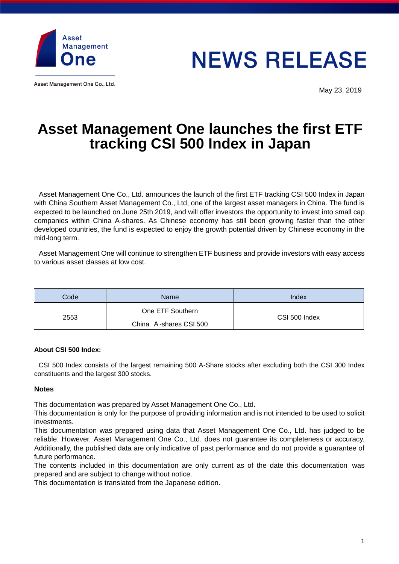

Asset Management One Co., Ltd.

# **NEWS RELEASE**

May 23, 2019

## **Asset Management One launches the first ETF tracking CSI 500 Index in Japan**

Asset Management One Co., Ltd. announces the launch of the first ETF tracking CSI 500 Index in Japan with China Southern Asset Management Co., Ltd, one of the largest asset managers in China. The fund is expected to be launched on June 25th 2019, and will offer investors the opportunity to invest into small cap companies within China A-shares. As Chinese economy has still been growing faster than the other developed countries, the fund is expected to enjoy the growth potential driven by Chinese economy in the mid-long term.

Asset Management One will continue to strengthen ETF business and provide investors with easy access to various asset classes at low cost.

| Code | <b>Name</b>            | Index         |
|------|------------------------|---------------|
| 2553 | One ETF Southern       | CSI 500 Index |
|      | China A-shares CSI 500 |               |

#### **About CSI 500 Index:**

CSI 500 Index consists of the largest remaining 500 A-Share stocks after excluding both the CSI 300 Index constituents and the largest 300 stocks.

#### **Notes**

This documentation was prepared by Asset Management One Co., Ltd.

This documentation is only for the purpose of providing information and is not intended to be used to solicit investments.

This documentation was prepared using data that Asset Management One Co., Ltd. has judged to be reliable. However, Asset Management One Co., Ltd. does not guarantee its completeness or accuracy. Additionally, the published data are only indicative of past performance and do not provide a guarantee of future performance.

The contents included in this documentation are only current as of the date this documentation was prepared and are subject to change without notice.

This documentation is translated from the Japanese edition.